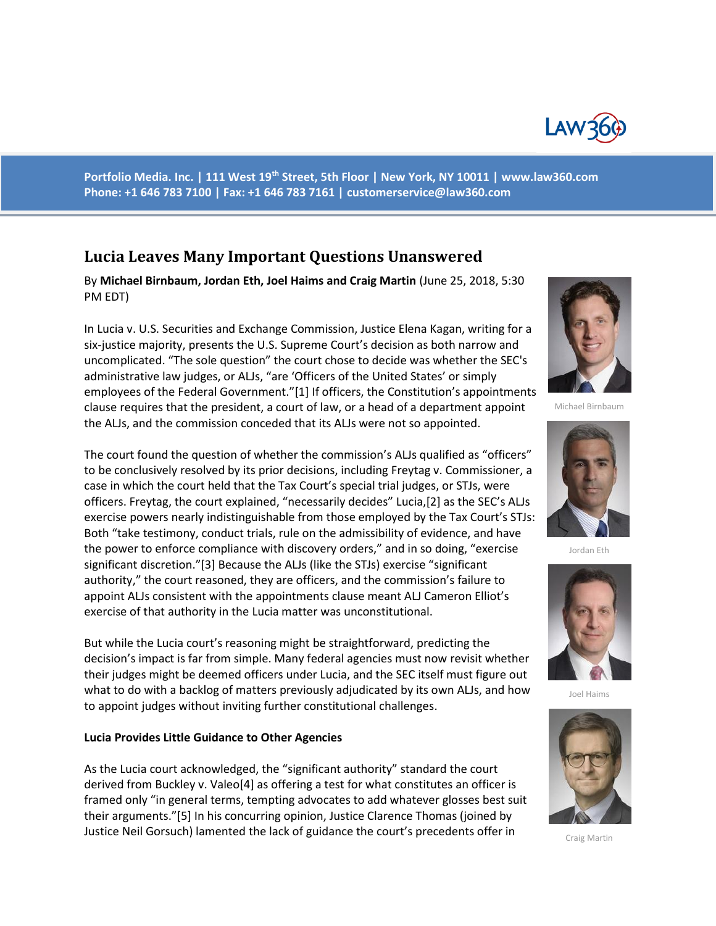

**Portfolio Media. Inc. | 111 West 19th Street, 5th Floor | New York, NY 10011 | www.law360.com Phone: +1 646 783 7100 | Fax: +1 646 783 7161 | [customerservice@law360.com](mailto:customerservice@law360.com)**

# **Lucia Leaves Many Important Questions Unanswered**

By **Michael Birnbaum, Jordan Eth, Joel Haims and Craig Martin** (June 25, 2018, 5:30 PM EDT)

In Lucia v. U.S. Securities and Exchange Commission, Justice Elena Kagan, writing for a six-justice majority, presents the U.S. Supreme Court's decision as both narrow and uncomplicated. "The sole question" the court chose to decide was whether the SEC's administrative law judges, or ALJs, "are 'Officers of the United States' or simply employees of the Federal Government."[1] If officers, the Constitution's appointments clause requires that the president, a court of law, or a head of a department appoint the ALJs, and the commission conceded that its ALJs were not so appointed.

The court found the question of whether the commission's ALJs qualified as "officers" to be conclusively resolved by its prior decisions, including Freytag v. Commissioner, a case in which the court held that the Tax Court's special trial judges, or STJs, were officers. Freytag, the court explained, "necessarily decides" Lucia,[2] as the SEC's ALJs exercise powers nearly indistinguishable from those employed by the Tax Court's STJs: Both "take testimony, conduct trials, rule on the admissibility of evidence, and have the power to enforce compliance with discovery orders," and in so doing, "exercise significant discretion."[3] Because the ALJs (like the STJs) exercise "significant authority," the court reasoned, they are officers, and the commission's failure to appoint ALJs consistent with the appointments clause meant ALJ Cameron Elliot's exercise of that authority in the Lucia matter was unconstitutional.

But while the Lucia court's reasoning might be straightforward, predicting the decision's impact is far from simple. Many federal agencies must now revisit whether their judges might be deemed officers under Lucia, and the SEC itself must figure out what to do with a backlog of matters previously adjudicated by its own ALJs, and how to appoint judges without inviting further constitutional challenges.

#### **Lucia Provides Little Guidance to Other Agencies**

As the Lucia court acknowledged, the "significant authority" standard the court derived from Buckley v. Valeo[4] as offering a test for what constitutes an officer is framed only "in general terms, tempting advocates to add whatever glosses best suit their arguments."[5] In his concurring opinion, Justice Clarence Thomas (joined by Justice Neil Gorsuch) lamented the lack of guidance the court's precedents offer in



Michael Birnbaum



Jordan Eth



Joel Haims



Craig Martin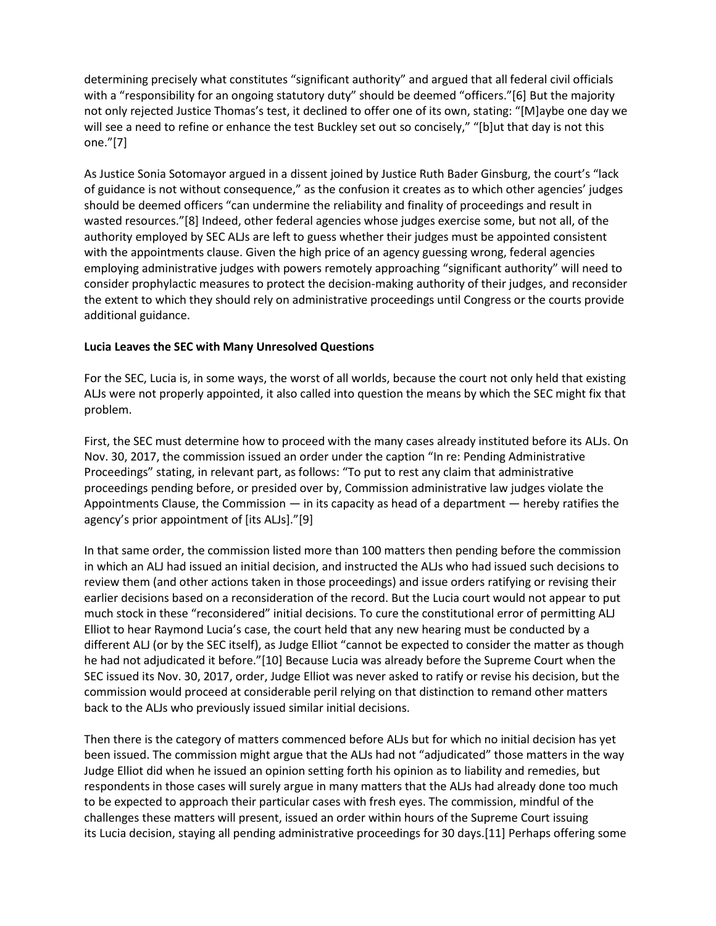determining precisely what constitutes "significant authority" and argued that all federal civil officials with a "responsibility for an ongoing statutory duty" should be deemed "officers."[6] But the majority not only rejected Justice Thomas's test, it declined to offer one of its own, stating: "[M]aybe one day we will see a need to refine or enhance the test Buckley set out so concisely," "[b]ut that day is not this one."[7]

As Justice Sonia Sotomayor argued in a dissent joined by Justice Ruth Bader Ginsburg, the court's "lack of guidance is not without consequence," as the confusion it creates as to which other agencies' judges should be deemed officers "can undermine the reliability and finality of proceedings and result in wasted resources."[8] Indeed, other federal agencies whose judges exercise some, but not all, of the authority employed by SEC ALJs are left to guess whether their judges must be appointed consistent with the appointments clause. Given the high price of an agency guessing wrong, federal agencies employing administrative judges with powers remotely approaching "significant authority" will need to consider prophylactic measures to protect the decision-making authority of their judges, and reconsider the extent to which they should rely on administrative proceedings until Congress or the courts provide additional guidance.

### **Lucia Leaves the SEC with Many Unresolved Questions**

For the SEC, Lucia is, in some ways, the worst of all worlds, because the court not only held that existing ALJs were not properly appointed, it also called into question the means by which the SEC might fix that problem.

First, the SEC must determine how to proceed with the many cases already instituted before its ALJs. On Nov. 30, 2017, the commission issued an order under the caption "In re: Pending Administrative Proceedings" stating, in relevant part, as follows: "To put to rest any claim that administrative proceedings pending before, or presided over by, Commission administrative law judges violate the Appointments Clause, the Commission — in its capacity as head of a department — hereby ratifies the agency's prior appointment of [its ALJs]."[9]

In that same order, the commission listed more than 100 matters then pending before the commission in which an ALJ had issued an initial decision, and instructed the ALJs who had issued such decisions to review them (and other actions taken in those proceedings) and issue orders ratifying or revising their earlier decisions based on a reconsideration of the record. But the Lucia court would not appear to put much stock in these "reconsidered" initial decisions. To cure the constitutional error of permitting ALJ Elliot to hear Raymond Lucia's case, the court held that any new hearing must be conducted by a different ALJ (or by the SEC itself), as Judge Elliot "cannot be expected to consider the matter as though he had not adjudicated it before."[10] Because Lucia was already before the Supreme Court when the SEC issued its Nov. 30, 2017, order, Judge Elliot was never asked to ratify or revise his decision, but the commission would proceed at considerable peril relying on that distinction to remand other matters back to the ALJs who previously issued similar initial decisions.

Then there is the category of matters commenced before ALJs but for which no initial decision has yet been issued. The commission might argue that the ALJs had not "adjudicated" those matters in the way Judge Elliot did when he issued an opinion setting forth his opinion as to liability and remedies, but respondents in those cases will surely argue in many matters that the ALJs had already done too much to be expected to approach their particular cases with fresh eyes. The commission, mindful of the challenges these matters will present, issued an order within hours of the Supreme Court issuing its Lucia decision, staying all pending administrative proceedings for 30 days.[11] Perhaps offering some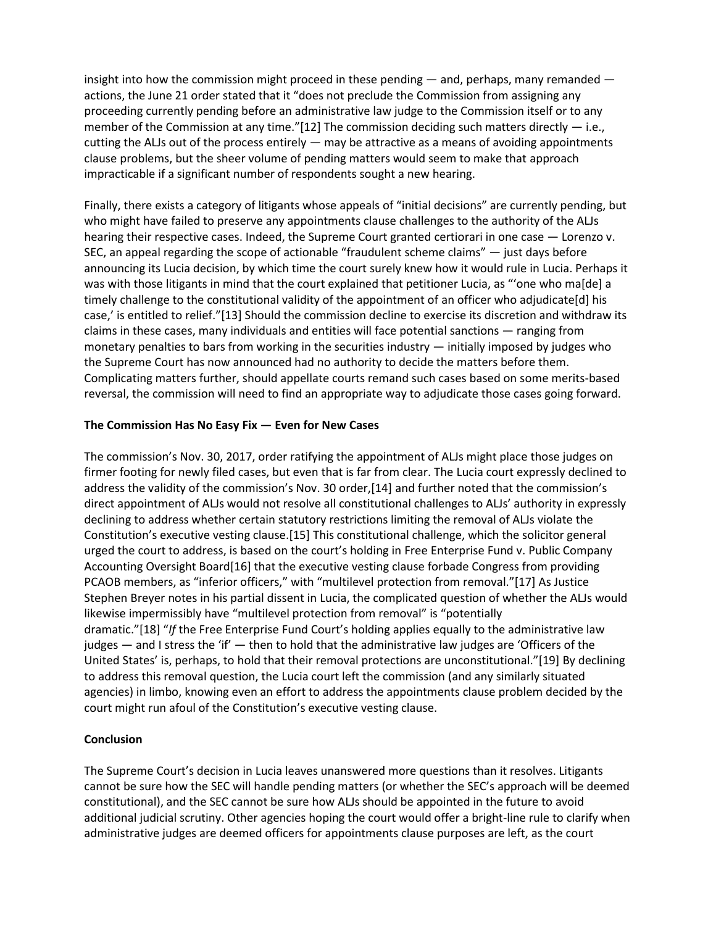insight into how the commission might proceed in these pending  $-$  and, perhaps, many remanded  $$ actions, the June 21 order stated that it "does not preclude the Commission from assigning any proceeding currently pending before an administrative law judge to the Commission itself or to any member of the Commission at any time."[12] The commission deciding such matters directly  $-$  i.e., cutting the ALJs out of the process entirely — may be attractive as a means of avoiding appointments clause problems, but the sheer volume of pending matters would seem to make that approach impracticable if a significant number of respondents sought a new hearing.

Finally, there exists a category of litigants whose appeals of "initial decisions" are currently pending, but who might have failed to preserve any appointments clause challenges to the authority of the ALJs hearing their respective cases. Indeed, the Supreme Court granted certiorari in one case — Lorenzo v. SEC, an appeal regarding the scope of actionable "fraudulent scheme claims"  $-$  just days before announcing its Lucia decision, by which time the court surely knew how it would rule in Lucia. Perhaps it was with those litigants in mind that the court explained that petitioner Lucia, as "'one who ma[de] a timely challenge to the constitutional validity of the appointment of an officer who adjudicate[d] his case,' is entitled to relief."[13] Should the commission decline to exercise its discretion and withdraw its claims in these cases, many individuals and entities will face potential sanctions — ranging from monetary penalties to bars from working in the securities industry — initially imposed by judges who the Supreme Court has now announced had no authority to decide the matters before them. Complicating matters further, should appellate courts remand such cases based on some merits-based reversal, the commission will need to find an appropriate way to adjudicate those cases going forward.

### **The Commission Has No Easy Fix — Even for New Cases**

The commission's Nov. 30, 2017, order ratifying the appointment of ALJs might place those judges on firmer footing for newly filed cases, but even that is far from clear. The Lucia court expressly declined to address the validity of the commission's Nov. 30 order,[14] and further noted that the commission's direct appointment of ALJs would not resolve all constitutional challenges to ALJs' authority in expressly declining to address whether certain statutory restrictions limiting the removal of ALJs violate the Constitution's executive vesting clause.[15] This constitutional challenge, which the solicitor general urged the court to address, is based on the court's holding in Free Enterprise Fund v. Public Company Accounting Oversight Board[16] that the executive vesting clause forbade Congress from providing PCAOB members, as "inferior officers," with "multilevel protection from removal."[17] As Justice Stephen Breyer notes in his partial dissent in Lucia, the complicated question of whether the ALJs would likewise impermissibly have "multilevel protection from removal" is "potentially dramatic."[18] "*If* the Free Enterprise Fund Court's holding applies equally to the administrative law judges  $-$  and I stress the 'if'  $-$  then to hold that the administrative law judges are 'Officers of the United States' is, perhaps, to hold that their removal protections are unconstitutional."[19] By declining to address this removal question, the Lucia court left the commission (and any similarly situated agencies) in limbo, knowing even an effort to address the appointments clause problem decided by the court might run afoul of the Constitution's executive vesting clause.

### **Conclusion**

The Supreme Court's decision in Lucia leaves unanswered more questions than it resolves. Litigants cannot be sure how the SEC will handle pending matters (or whether the SEC's approach will be deemed constitutional), and the SEC cannot be sure how ALJs should be appointed in the future to avoid additional judicial scrutiny. Other agencies hoping the court would offer a bright-line rule to clarify when administrative judges are deemed officers for appointments clause purposes are left, as the court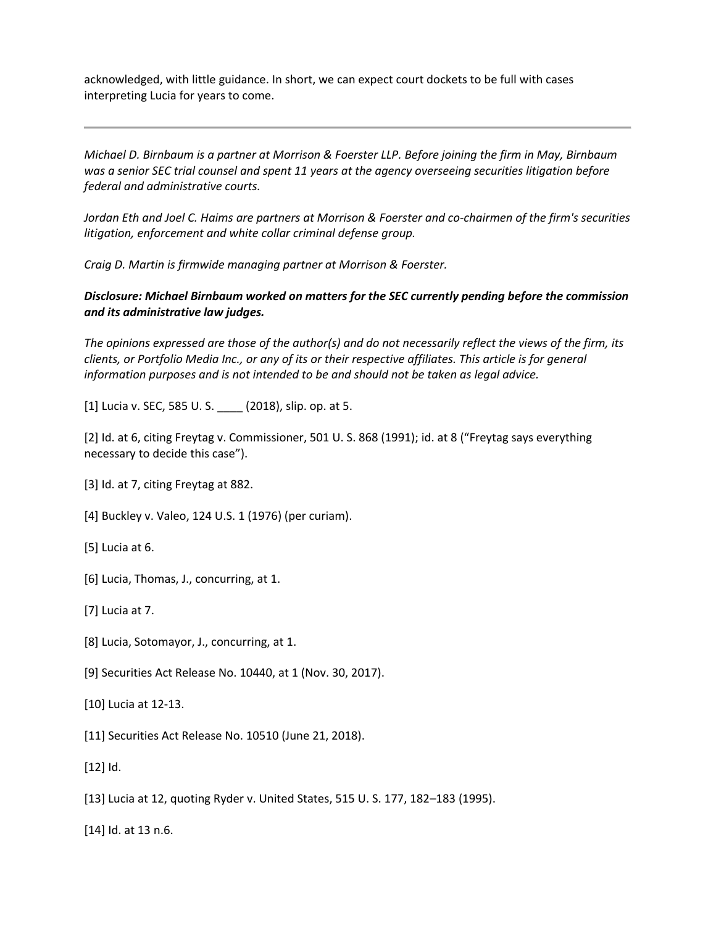acknowledged, with little guidance. In short, we can expect court dockets to be full with cases interpreting Lucia for years to come.

*Michael D. Birnbaum is a partner at Morrison & Foerster LLP. Before joining the firm in May, Birnbaum was a senior SEC trial counsel and spent 11 years at the agency overseeing securities litigation before federal and administrative courts.*

*Jordan Eth and Joel C. Haims are partners at Morrison & Foerster and co-chairmen of the firm's securities litigation, enforcement and white collar criminal defense group.*

*Craig D. Martin is firmwide managing partner at Morrison & Foerster.*

## *Disclosure: Michael Birnbaum worked on matters for the SEC currently pending before the commission and its administrative law judges.*

*The opinions expressed are those of the author(s) and do not necessarily reflect the views of the firm, its clients, or Portfolio Media Inc., or any of its or their respective affiliates. This article is for general information purposes and is not intended to be and should not be taken as legal advice.*

[1] Lucia v. SEC, 585 U. S. \_\_\_\_ (2018), slip. op. at 5.

[2] Id. at 6, citing Freytag v. Commissioner, 501 U. S. 868 (1991); id. at 8 ("Freytag says everything necessary to decide this case").

- [3] Id. at 7, citing Freytag at 882.
- [4] Buckley v. Valeo, 124 U.S. 1 (1976) (per curiam).
- [5] Lucia at 6.
- [6] Lucia, Thomas, J., concurring, at 1.
- [7] Lucia at 7.
- [8] Lucia, Sotomayor, J., concurring, at 1.
- [9] Securities Act Release No. 10440, at 1 (Nov. 30, 2017).
- [10] Lucia at 12-13.
- [11] Securities Act Release No. 10510 (June 21, 2018).
- [12] Id.
- [13] Lucia at 12, quoting Ryder v. United States, 515 U. S. 177, 182–183 (1995).
- [14] Id. at 13 n.6.